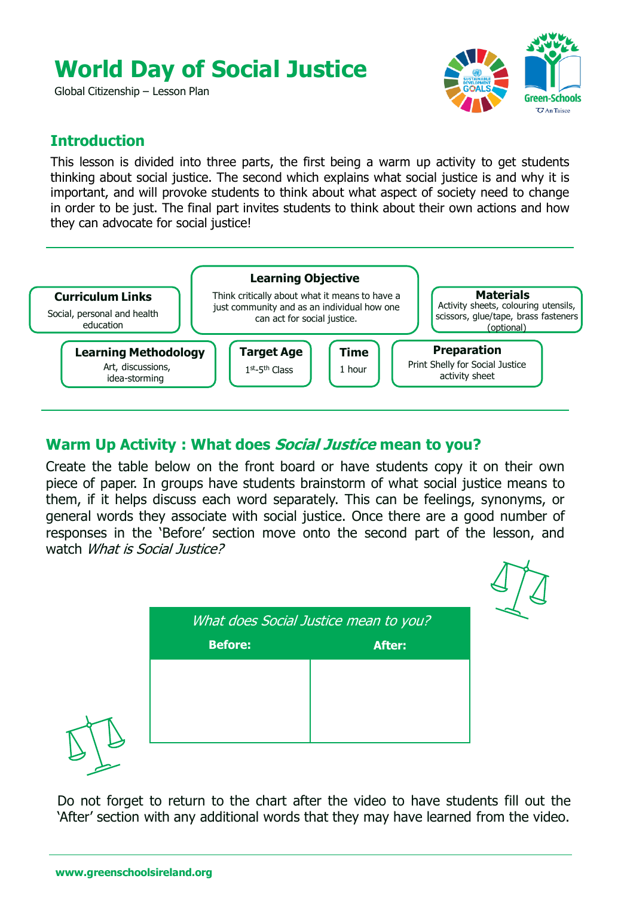# **World Day of Social Justice**

Global Citizenship – Lesson Plan



#### **Introduction**

This lesson is divided into three parts, the first being a warm up activity to get students thinking about social justice. The second which explains what social justice is and why it is important, and will provoke students to think about what aspect of society need to change in order to be just. The final part invites students to think about their own actions and how they can advocate for social justice!



#### **Warm Up Activity : What does Social Justice mean to you?**

Create the table below on the front board or have students copy it on their own piece of paper. In groups have students brainstorm of what social justice means to them, if it helps discuss each word separately. This can be feelings, synonyms, or general words they associate with social justice. Once there are a good number of responses in the 'Before' section move onto the second part of the lesson, and watch What is Social Justice?

| What does Social Justice mean to you? |               |
|---------------------------------------|---------------|
| <b>Before:</b>                        | <b>After:</b> |
|                                       |               |
|                                       |               |
|                                       |               |
|                                       |               |

Do not forget to return to the chart after the video to have students fill out the 'After' section with any additional words that they may have learned from the video.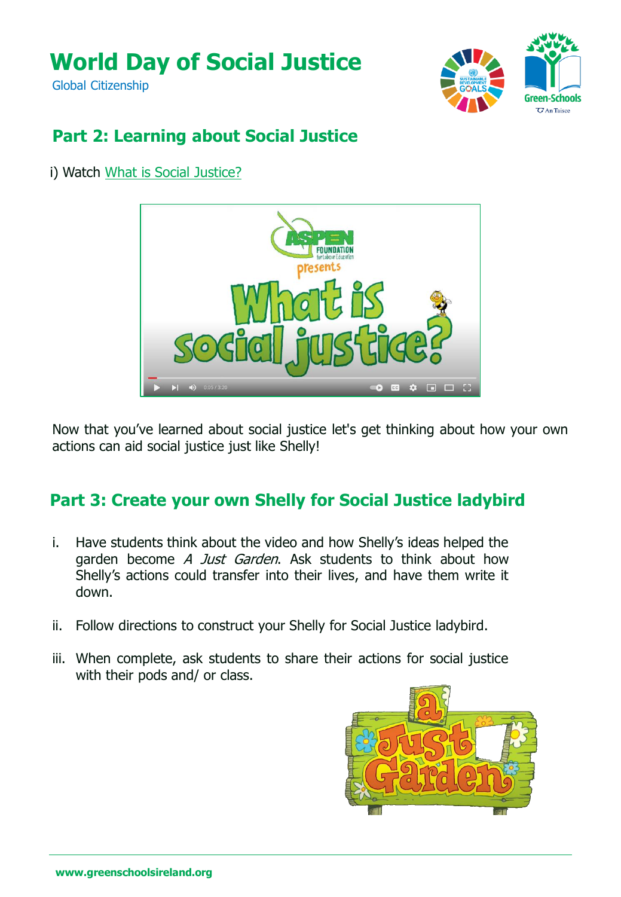# **World Day of Social Justice**

Global Citizenship



### **Part 2: Learning about Social Justice**

i) Watch What is Social [Justice?](https://youtu.be/QojPDlEWL9Y)



Now that you've learned about social justice let's get thinking about how your own actions can aid social justice just like Shelly!

### **Part 3: Create your own Shelly for Social Justice ladybird**

- i. Have students think about the video and how Shelly's ideas helped the garden become A Just Garden. Ask students to think about how Shelly's actions could transfer into their lives, and have them write it down.
- ii. Follow directions to construct your Shelly for Social Justice ladybird.
- iii. When complete, ask students to share their actions for social justice with their pods and/ or class.

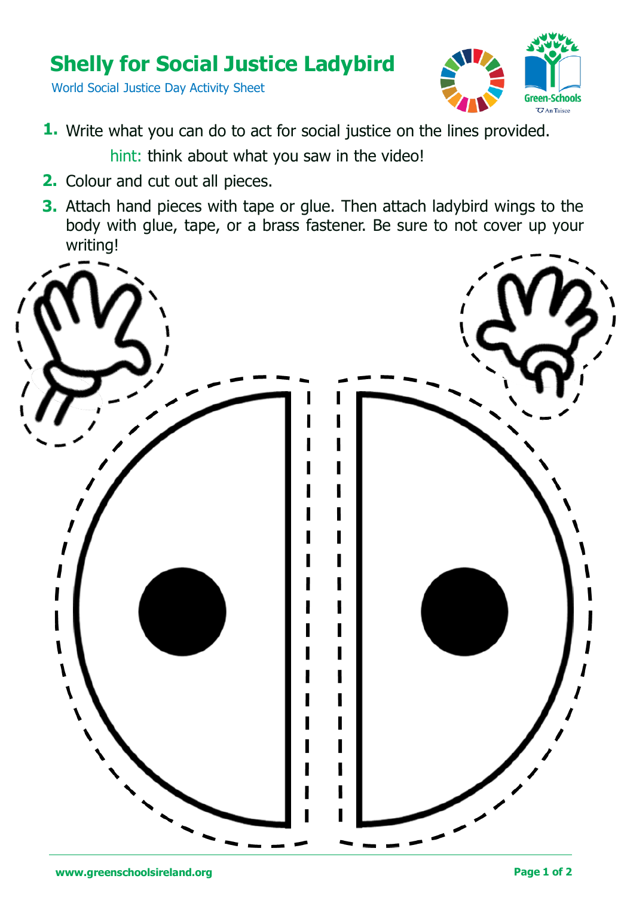## **Shelly for Social Justice Ladybird**

World Social Justice Day Activity Sheet



- 1. Write what you can do to act for social justice on the lines provided. hint: think about what you saw in the video!
- 2. Colour and cut out all pieces.
- **3.** Attach hand pieces with tape or glue. Then attach ladybird wings to the body with glue, tape, or a brass fastener. Be sure to not cover up your writing!